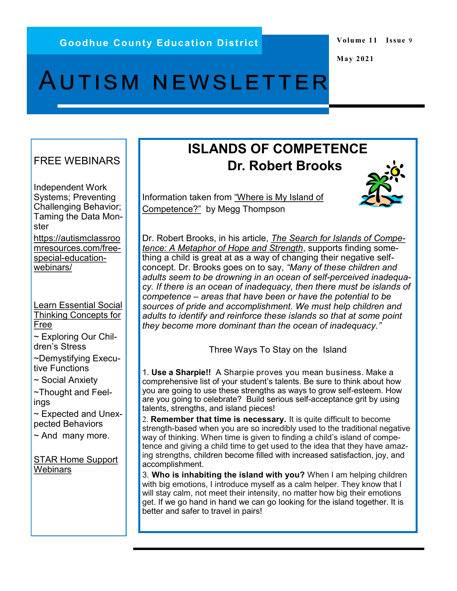#### **Volume 11 Issue 9**

**May 2021**

# Autism newsletter

#### FREE WEBINARS

Independent Work Systems; Preventing Challenging Behavior; Taming the Data Monster [https://autismclassroo](https://autismclassroomresources.com/free-special-education-webinars/) [mresources.com/free](https://autismclassroomresources.com/free-special-education-webinars/)special-[education](https://autismclassroomresources.com/free-special-education-webinars/)[webinars/](https://autismclassroomresources.com/free-special-education-webinars/)

[Learn Essential Social](https://www.socialthinking.com/online-training/free-webinars)  [Thinking Concepts for](https://www.socialthinking.com/online-training/free-webinars)  [Free](https://www.socialthinking.com/online-training/free-webinars)

~ Exploring Our Children's Stress

~Demystifying Executive Functions

~ Social Anxiety

~Thought and Feelings

~ Expected and Unexpected Behaviors

 $\sim$  And many more.

[STAR Home Support](https://www.starautismsupport.com/classroom-tools/Home-Support-Webinars)  **[Webinars](https://www.starautismsupport.com/classroom-tools/Home-Support-Webinars)** 

## **ISLANDS OF COMPETENCE Dr. Robert Brooks**

Information taken from ["Where is My Island of](https://thriveglobal.com/stories/where-is-my-island-of-competence/#:~:text=Robert%20Brooks%2C%20in%20his%20article,time%20in%20my%20behavior%20internship.)  [Competence?"](https://thriveglobal.com/stories/where-is-my-island-of-competence/#:~:text=Robert%20Brooks%2C%20in%20his%20article,time%20in%20my%20behavior%20internship.) by Megg Thompson



Dr. Robert Brooks, in his article, *[The Search for Islands of Compe](http://www.drrobertbrooks.com/pdf/0506.pdf)[tence: A Metaphor of Hope and Strength](http://www.drrobertbrooks.com/pdf/0506.pdf)*, supports finding something a child is great at as a way of changing their negative selfconcept. Dr. Brooks goes on to say, *"Many of these children and adults seem to be drowning in an ocean of self-perceived inadequacy. If there is an ocean of inadequacy, then there must be islands of competence – areas that have been or have the potential to be sources of pride and accomplishment. We must help children and adults to identify and reinforce these islands so that at some point they become more dominant than the ocean of inadequacy."*

Three Ways To Stay on the Island

1. **Use a Sharpie!!** A Sharpie proves you mean business. Make a comprehensive list of your student's talents. Be sure to think about how you are going to use these strengths as ways to grow self-esteem. How are you going to celebrate? Build serious self-acceptance grit by using talents, strengths, and island pieces!

2. **Remember that time is necessary.** It is quite difficult to become strength-based when you are so incredibly used to the traditional negative way of thinking. When time is given to finding a child's island of competence and giving a child time to get used to the idea that they have amazing strengths, children become filled with increased satisfaction, joy, and accomplishment.

3. **Who is inhabiting the island with you?** When I am helping children with big emotions, I introduce myself as a calm helper. They know that I will stay calm, not meet their intensity, no matter how big their emotions get. If we go hand in hand we can go looking for the island together. It is better and safer to travel in pairs!